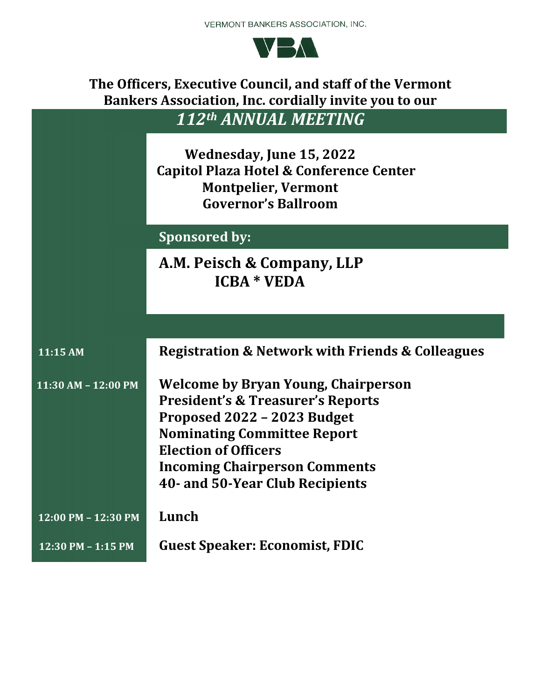

**The Officers, Executive Council, and staff of the Vermont Bankers Association, Inc. cordially invite you to our** *112th ANNUAL MEETING*

> **Wednesday, June 15, 2022 Capitol Plaza Hotel & Conference Center Montpelier, Vermont Governor's Ballroom**

**Sponsored by:**

**A.M. Peisch & Company, LLP ICBA \* VEDA**

| 11:15 AM              | Registration & Network with Friends & Colleagues                                                                                                                                                                                                                   |
|-----------------------|--------------------------------------------------------------------------------------------------------------------------------------------------------------------------------------------------------------------------------------------------------------------|
| $11:30 AM - 12:00 PM$ | Welcome by Bryan Young, Chairperson<br><b>President's &amp; Treasurer's Reports</b><br>Proposed 2022 - 2023 Budget<br><b>Nominating Committee Report</b><br><b>Election of Officers</b><br><b>Incoming Chairperson Comments</b><br>40- and 50-Year Club Recipients |
| 12:00 PM - 12:30 PM   | Lunch                                                                                                                                                                                                                                                              |
| 12:30 PM - 1:15 PM    | <b>Guest Speaker: Economist, FDIC</b>                                                                                                                                                                                                                              |